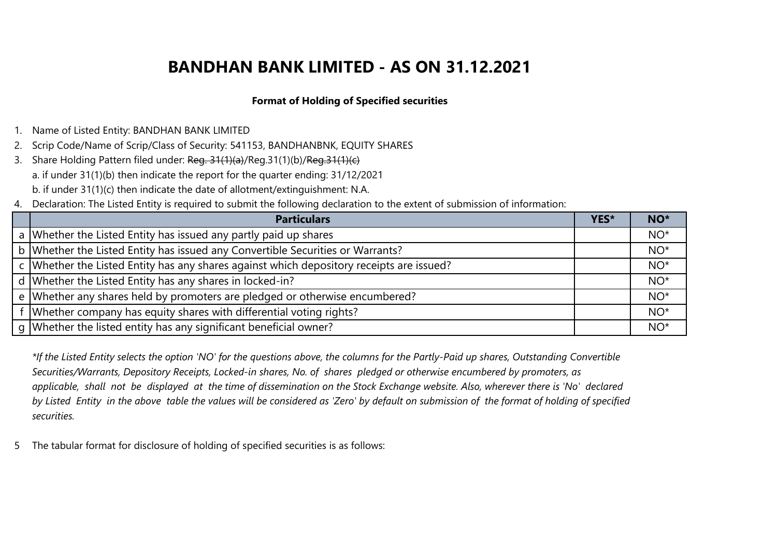### **Format of Holding of Specified securities**

- 1. Name of Listed Entity: BANDHAN BANK LIMITED
- 2. Scrip Code/Name of Scrip/Class of Security: 541153, BANDHANBNK, EQUITY SHARES
- 3. Share Holding Pattern filed under: Reg. 31(1)(a)/Reg.31(1)(b)/Reg.31(1)(c) a. if under 31(1)(b) then indicate the report for the quarter ending: 31/12/2021 b. if under 31(1)(c) then indicate the date of allotment/extinguishment: N.A.
- 4. Declaration: The Listed Entity is required to submit the following declaration to the extent of submission of information:

| <b>Particulars</b>                                                                         | YES* | NO <sup>*</sup> |
|--------------------------------------------------------------------------------------------|------|-----------------|
| a Whether the Listed Entity has issued any partly paid up shares                           |      | $NO*$           |
| b Whether the Listed Entity has issued any Convertible Securities or Warrants?             |      | $NO*$           |
| c   Whether the Listed Entity has any shares against which depository receipts are issued? |      | $NO*$           |
| d Whether the Listed Entity has any shares in locked-in?                                   |      | $NO*$           |
| e Whether any shares held by promoters are pledged or otherwise encumbered?                |      | $NO*$           |
| f Whether company has equity shares with differential voting rights?                       |      | $NO*$           |
| g   Whether the listed entity has any significant beneficial owner?                        |      | $NO*$           |

*\*If the Listed Entity selects the option 'NO' for the questions above, the columns for the Partly-Paid up shares, Outstanding Convertible Securities/Warrants, Depository Receipts, Locked-in shares, No. of shares pledged or otherwise encumbered by promoters, as applicable, shall not be displayed at the time of dissemination on the Stock Exchange website. Also, wherever there is 'No' declared by Listed Entity in the above table the values will be considered as 'Zero' by default on submission of the format of holding of specified securities.*

5 The tabular format for disclosure of holding of specified securities is as follows: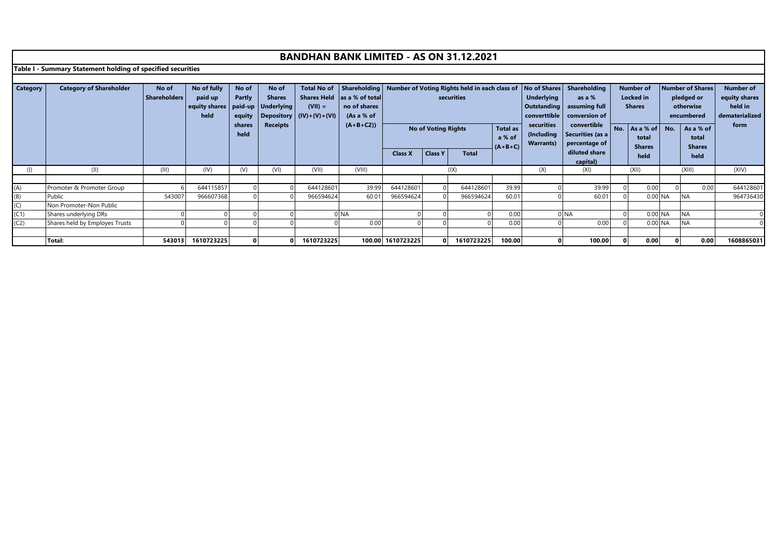**Table I - Summary Statement holding of specified securities**

| Category   | <b>Category of Shareholder</b>      | No of<br><b>Shareholders</b> | No of fully<br>paid up<br>equity shares   paid-up   Underlying | No of<br>Partly          | No of<br><b>Shares</b> | <b>Total No of</b><br>$(VII) =$ | Shares Held las a % of total<br>no of shares |                        | Shareholding   Number of Voting Rights held in each class of   No of Shares   Shareholding<br>securities |                        |                                        | <b>Underlying</b>               | as a %<br>Outstanding   assuming full                                                           | <b>Number of</b><br><b>Locked</b> in<br><b>Shares</b> |                                         | <b>Number of Shares</b><br>pledged or<br>otherwise |                                                   | <b>Number of</b><br>equity shares<br>held in |
|------------|-------------------------------------|------------------------------|----------------------------------------------------------------|--------------------------|------------------------|---------------------------------|----------------------------------------------|------------------------|----------------------------------------------------------------------------------------------------------|------------------------|----------------------------------------|---------------------------------|-------------------------------------------------------------------------------------------------|-------------------------------------------------------|-----------------------------------------|----------------------------------------------------|---------------------------------------------------|----------------------------------------------|
|            |                                     |                              | held                                                           | equity<br>shares<br>held | <b>Receipts</b>        | Depository $ (IV)+(V)+(VI) $    | (As a $%$ of<br>$(A+B+C2)$                   |                        | <b>No of Voting Rights</b>                                                                               |                        | <b>Total as</b><br>a % of<br>$(A+B+C)$ | securities<br><b>Warrants</b> ) | converttible   conversion of  <br>convertible<br>(Including   Securities (as a<br>percentage of | No.                                                   | As a % of No.<br>total<br><b>Shares</b> |                                                    | encumbered<br>As a % of<br>total<br><b>Shares</b> | dematerialized<br>form                       |
|            |                                     |                              |                                                                |                          |                        |                                 |                                              | <b>Class X</b>         | <b>Class Y</b>                                                                                           | <b>Total</b>           |                                        |                                 | diluted share<br>capital)                                                                       |                                                       | held                                    |                                                    | held                                              |                                              |
| (1)        | (II)                                | (III)                        | (IV)                                                           | (V)                      | (VI)                   | (VII)                           | (VIII)                                       |                        |                                                                                                          | (IX)                   |                                        | (X)                             | (XI)                                                                                            |                                                       | (XII)                                   |                                                    | (XIII)                                            | (XIV)                                        |
|            |                                     |                              |                                                                |                          |                        |                                 |                                              |                        |                                                                                                          |                        |                                        |                                 |                                                                                                 |                                                       |                                         |                                                    |                                                   |                                              |
| (A)        | Promoter & Promoter Group<br>Public | 543007                       | 644115857<br>966607368                                         |                          |                        | 644128601<br>966594624          | 39.99<br>60.01                               | 644128601<br>966594624 |                                                                                                          | 644128601<br>966594624 | 39.99<br>60.01                         |                                 | 39.99<br>60.01                                                                                  |                                                       | 0.00<br>0.00 NA                         |                                                    | 0.00<br><b>NA</b>                                 | 644128601<br>964736430                       |
| (B)<br>(C) | Non Promoter-Non Public             |                              |                                                                |                          |                        |                                 |                                              |                        |                                                                                                          |                        |                                        |                                 |                                                                                                 |                                                       |                                         |                                                    |                                                   |                                              |
| (C1)       | Shares underlying DRs               |                              |                                                                |                          |                        |                                 | 0 <sub>NA</sub>                              |                        |                                                                                                          |                        | 0.00                                   |                                 | <b>INA</b>                                                                                      |                                                       | 0.00 NA                                 |                                                    | <b>NA</b>                                         |                                              |
| (C2)       | Shares held by Employes Trusts      |                              |                                                                |                          |                        |                                 | 0.00                                         |                        |                                                                                                          |                        | 0.00                                   |                                 | 0.00                                                                                            |                                                       | 0.00 NA                                 |                                                    | <b>NA</b>                                         |                                              |
|            |                                     |                              |                                                                |                          |                        |                                 |                                              |                        |                                                                                                          |                        |                                        |                                 |                                                                                                 |                                                       |                                         |                                                    |                                                   |                                              |
|            | Total:                              | 543013                       | 1610723225                                                     |                          |                        | 1610723225                      |                                              | 100.00 1610723225      |                                                                                                          | 1610723225             | 100.00                                 |                                 | 100.00                                                                                          |                                                       | 0.00                                    |                                                    | 0.00                                              | 1608865031                                   |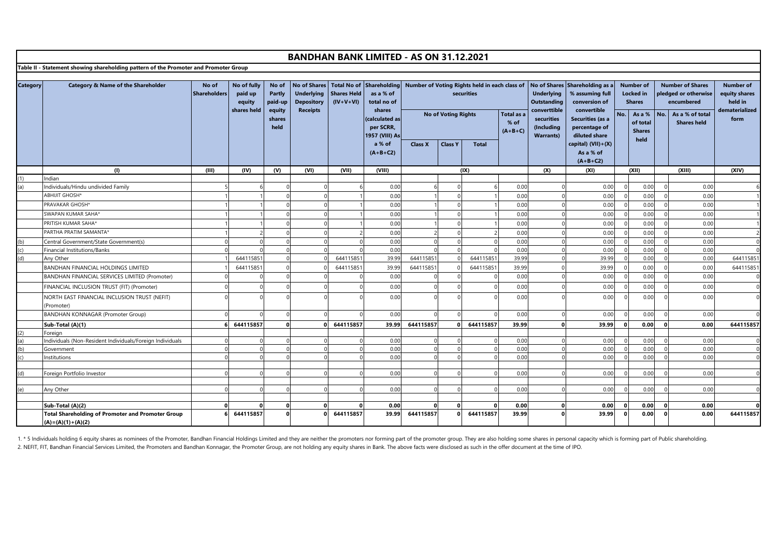|                                        |                                                                                      |                              |                                                 |                                                        |                                                                                  |                                   | <b>BANDHAN BANK LIMITED - AS ON 31.12.2021</b>                                                                 |                |                            |                                                             |                                   |                                                                                                  |                                                                                                                                         |            |                                                                                                      |     |                                                                                                        |                                                                        |
|----------------------------------------|--------------------------------------------------------------------------------------|------------------------------|-------------------------------------------------|--------------------------------------------------------|----------------------------------------------------------------------------------|-----------------------------------|----------------------------------------------------------------------------------------------------------------|----------------|----------------------------|-------------------------------------------------------------|-----------------------------------|--------------------------------------------------------------------------------------------------|-----------------------------------------------------------------------------------------------------------------------------------------|------------|------------------------------------------------------------------------------------------------------|-----|--------------------------------------------------------------------------------------------------------|------------------------------------------------------------------------|
|                                        | Table II - Statement showing shareholding pattern of the Promoter and Promoter Group |                              |                                                 |                                                        |                                                                                  |                                   |                                                                                                                |                |                            |                                                             |                                   |                                                                                                  |                                                                                                                                         |            |                                                                                                      |     |                                                                                                        |                                                                        |
|                                        |                                                                                      |                              |                                                 |                                                        |                                                                                  |                                   |                                                                                                                |                |                            |                                                             |                                   |                                                                                                  |                                                                                                                                         |            |                                                                                                      |     |                                                                                                        |                                                                        |
| <b>Category</b>                        | Category & Name of the Shareholder                                                   | No of<br><b>Shareholders</b> | No of fully<br>paid up<br>equity<br>shares held | No of<br>Partly<br>paid-up<br>equity<br>shares<br>held | <b>No of Shares</b><br><b>Underlying</b><br><b>Depository</b><br><b>Receipts</b> | <b>Shares Held</b><br>$(IV+V+VI)$ | Total No of Shareholding<br>as a % of<br>total no of<br>shares<br>calculated as<br>per SCRR,<br>1957 (VIII) As |                | <b>No of Voting Rights</b> | Number of Voting Rights held in each class of<br>securities | Total as a<br>$%$ of<br>$(A+B+C)$ | <b>Underlying</b><br>Outstanding<br>converttible<br>securities<br>(Including<br><b>Warrants)</b> | No of Shares Shareholding as a<br>% assuming full<br>conversion of<br>convertible<br>Securities (as a<br>percentage of<br>diluted share | No.        | <b>Number of</b><br><b>Locked</b> in<br><b>Shares</b><br>As a %<br>of total<br><b>Shares</b><br>held | No. | <b>Number of Shares</b><br>pledged or otherwise<br>encumbered<br>As a % of total<br><b>Shares held</b> | <b>Number of</b><br>equity shares<br>held in<br>dematerialized<br>form |
|                                        |                                                                                      |                              |                                                 |                                                        |                                                                                  |                                   | a % of<br>$(A+B+C2)$                                                                                           | <b>Class X</b> | <b>Class Y</b>             | <b>Total</b>                                                |                                   |                                                                                                  | capital) (VII)+(X)<br>As a % of<br>$(A+B+C2)$                                                                                           |            |                                                                                                      |     |                                                                                                        |                                                                        |
|                                        | (1)                                                                                  | (III)                        | (IV)                                            | (V)                                                    | (VI)                                                                             | (VII)                             | (VIII)                                                                                                         |                |                            | (IX)                                                        |                                   | (X)                                                                                              | (XI)                                                                                                                                    |            | (X I)                                                                                                |     | (XIII)                                                                                                 | (X V)                                                                  |
| (1)                                    | Indian                                                                               |                              |                                                 |                                                        |                                                                                  |                                   |                                                                                                                |                |                            |                                                             |                                   |                                                                                                  |                                                                                                                                         |            |                                                                                                      |     |                                                                                                        |                                                                        |
| (a)                                    | Individuals/Hindu undivided Family                                                   |                              |                                                 |                                                        |                                                                                  |                                   | 0.00                                                                                                           |                |                            |                                                             | 0.00                              |                                                                                                  | 0.00                                                                                                                                    |            | 0.00                                                                                                 |     | 0.00                                                                                                   |                                                                        |
|                                        | <b>ABHIJIT GHOSH*</b>                                                                |                              |                                                 |                                                        |                                                                                  |                                   | 0.00                                                                                                           |                | $\Omega$                   |                                                             | 0.00                              |                                                                                                  | 0.00                                                                                                                                    | $\Omega$   | 0.00                                                                                                 |     | 0.00                                                                                                   |                                                                        |
|                                        | PRAVAKAR GHOSH*                                                                      |                              |                                                 |                                                        |                                                                                  |                                   | 0.00                                                                                                           |                |                            |                                                             | 0.00                              |                                                                                                  | 0.00                                                                                                                                    | $\Omega$   | 0.00                                                                                                 |     | 0.00                                                                                                   |                                                                        |
|                                        | SWAPAN KUMAR SAHA*                                                                   |                              |                                                 |                                                        |                                                                                  |                                   | 0.00                                                                                                           |                |                            |                                                             | 0.00                              |                                                                                                  | 0.00                                                                                                                                    |            | 0.00                                                                                                 |     | 0.00                                                                                                   |                                                                        |
|                                        | PRITISH KUMAR SAHA*                                                                  |                              |                                                 |                                                        |                                                                                  |                                   | 0.00                                                                                                           |                |                            |                                                             | 0.00                              |                                                                                                  | 0.00                                                                                                                                    | $\Omega$   | 0.00                                                                                                 |     | 0.00                                                                                                   |                                                                        |
|                                        | PARTHA PRATIM SAMANTA*                                                               |                              |                                                 |                                                        |                                                                                  |                                   | 0.00                                                                                                           |                |                            |                                                             | 0.00                              |                                                                                                  | 0.00                                                                                                                                    |            | 0.00                                                                                                 |     | 0.00                                                                                                   |                                                                        |
| (b)                                    | Central Government/State Government(s)                                               |                              |                                                 |                                                        |                                                                                  |                                   | 0.00                                                                                                           |                |                            |                                                             | 0.00                              |                                                                                                  | 0.00                                                                                                                                    | $\Omega$   | 0.00                                                                                                 |     | 0.00                                                                                                   | $\Omega$                                                               |
|                                        | Financial Institutions/Banks                                                         |                              |                                                 |                                                        |                                                                                  |                                   | 0.00                                                                                                           |                |                            |                                                             | 0.00                              |                                                                                                  | 0.00                                                                                                                                    | $\Omega$   | 0.00                                                                                                 |     | 0.00                                                                                                   | $\Omega$                                                               |
| $\begin{pmatrix} 1 \\ 0 \end{pmatrix}$ | Any Other                                                                            |                              | 644115851                                       |                                                        |                                                                                  | 644115851                         | 39.99                                                                                                          | 644115851      |                            | 644115851                                                   | 39.99                             |                                                                                                  | 39.99                                                                                                                                   |            | 0.00                                                                                                 |     | 0.00                                                                                                   | 644115851                                                              |
|                                        | BANDHAN FINANCIAL HOLDINGS LIMITED                                                   |                              | 644115851                                       |                                                        |                                                                                  | 644115851                         | 39.99                                                                                                          | 64411585       |                            | 644115851                                                   | 39.99                             |                                                                                                  | 39.99                                                                                                                                   |            | 0.00                                                                                                 |     | 0.00                                                                                                   | 644115851                                                              |
|                                        | BANDHAN FINANCIAL SERVICES LIMITED (Promoter)                                        |                              |                                                 |                                                        |                                                                                  |                                   | 0.00                                                                                                           |                |                            |                                                             | 0.00                              |                                                                                                  | 0.00                                                                                                                                    |            | 0.00                                                                                                 |     | 0.00                                                                                                   |                                                                        |
|                                        | FINANCIAL INCLUSION TRUST (FIT) (Promoter)                                           |                              |                                                 |                                                        |                                                                                  |                                   | 0.00                                                                                                           |                |                            |                                                             | 0.00                              |                                                                                                  | 0.00                                                                                                                                    | $\Omega$   | 0.00                                                                                                 |     | 0.00                                                                                                   |                                                                        |
|                                        | NORTH EAST FINANCIAL INCLUSION TRUST (NEFIT)                                         |                              |                                                 |                                                        |                                                                                  |                                   | 0.00                                                                                                           |                |                            |                                                             | 0.00                              |                                                                                                  | 0.00                                                                                                                                    | $\epsilon$ | 0.00                                                                                                 |     | 0.00                                                                                                   |                                                                        |
|                                        | (Promoter)                                                                           |                              |                                                 |                                                        |                                                                                  |                                   |                                                                                                                |                |                            |                                                             |                                   |                                                                                                  |                                                                                                                                         |            |                                                                                                      |     |                                                                                                        |                                                                        |
|                                        | <b>BANDHAN KONNAGAR (Promoter Group)</b>                                             |                              |                                                 | $\Omega$                                               |                                                                                  |                                   | 0.00                                                                                                           |                |                            |                                                             | 0.00                              |                                                                                                  | 0.00                                                                                                                                    | $\Omega$   | 0.00                                                                                                 |     | 0.00                                                                                                   | $\Omega$                                                               |
|                                        | Sub-Total (A)(1)                                                                     |                              | 644115857                                       |                                                        |                                                                                  | 644115857                         | 39.99                                                                                                          | 644115857      |                            | 644115857                                                   | 39.99                             |                                                                                                  | 39.99                                                                                                                                   | $\Omega$   | 0.00                                                                                                 |     | 0.00                                                                                                   | 644115857                                                              |
|                                        | Foreian                                                                              |                              |                                                 |                                                        |                                                                                  |                                   |                                                                                                                |                |                            |                                                             |                                   |                                                                                                  |                                                                                                                                         |            |                                                                                                      |     |                                                                                                        |                                                                        |
| $\frac{(2)}{(a)}$<br>$\frac{(b)}{(c)}$ | Individuals (Non-Resident Individuals/Foreign Individuals                            |                              |                                                 |                                                        |                                                                                  |                                   | 0.00                                                                                                           | $\Omega$       |                            |                                                             | 0.00                              |                                                                                                  | 0.00                                                                                                                                    | $\Omega$   | 0.00                                                                                                 |     | 0.00                                                                                                   | $\Omega$                                                               |
|                                        | Government                                                                           |                              | $\Omega$                                        |                                                        |                                                                                  |                                   | 0.00                                                                                                           | $\Omega$       |                            |                                                             | 0.00                              |                                                                                                  | 0.00                                                                                                                                    | $\Omega$   | 0.00                                                                                                 |     | 0.00                                                                                                   | $\Omega$                                                               |
|                                        | <b>Institutions</b>                                                                  |                              |                                                 |                                                        |                                                                                  |                                   | 0.00                                                                                                           |                |                            |                                                             | 0.00                              |                                                                                                  | 0.00                                                                                                                                    |            | 0.00                                                                                                 |     | 0.00                                                                                                   | $\Omega$                                                               |
|                                        |                                                                                      |                              |                                                 |                                                        |                                                                                  |                                   |                                                                                                                |                |                            |                                                             |                                   |                                                                                                  |                                                                                                                                         |            |                                                                                                      |     |                                                                                                        |                                                                        |
| (d)                                    | Foreign Portfolio Investor                                                           |                              |                                                 |                                                        |                                                                                  |                                   | 0.00                                                                                                           |                |                            |                                                             | 0.00                              |                                                                                                  | 0.00                                                                                                                                    | $\Omega$   | 0.00                                                                                                 |     | 0.00                                                                                                   | $\sqrt{ }$                                                             |
|                                        |                                                                                      |                              |                                                 |                                                        |                                                                                  |                                   |                                                                                                                |                |                            |                                                             |                                   |                                                                                                  |                                                                                                                                         |            |                                                                                                      |     |                                                                                                        |                                                                        |
| (e)                                    | Any Other                                                                            |                              |                                                 |                                                        |                                                                                  |                                   | 0.00                                                                                                           | $\Omega$       |                            |                                                             | 0.00                              |                                                                                                  | 0.00                                                                                                                                    | $\Omega$   | 0.00                                                                                                 |     | 0.00                                                                                                   | $\Omega$                                                               |
|                                        |                                                                                      | $\Omega$                     |                                                 | $\Omega$                                               | $\Omega$                                                                         |                                   | 0.00                                                                                                           | $\Omega$       |                            |                                                             | 0.00                              |                                                                                                  |                                                                                                                                         | $\Omega$   | 0.00                                                                                                 |     | 0.00                                                                                                   | $\Omega$                                                               |
|                                        | Sub-Total (A)(2)<br><b>Total Shareholding of Promoter and Promoter Group</b>         |                              | 644115857                                       |                                                        |                                                                                  | 644115857                         | 39.99                                                                                                          | 644115857      |                            | 644115857                                                   | 39.99                             |                                                                                                  | 0.00<br>39.99                                                                                                                           | $\Omega$   | 0.00                                                                                                 |     | 0.00                                                                                                   | 644115857                                                              |
|                                        | $(A) = (A)(1) + (A)(2)$                                                              |                              |                                                 |                                                        |                                                                                  |                                   |                                                                                                                |                |                            |                                                             |                                   |                                                                                                  |                                                                                                                                         |            |                                                                                                      |     |                                                                                                        |                                                                        |
|                                        |                                                                                      |                              |                                                 |                                                        |                                                                                  |                                   |                                                                                                                |                |                            |                                                             |                                   |                                                                                                  |                                                                                                                                         |            |                                                                                                      |     |                                                                                                        |                                                                        |

1. \* 5 Individuals holding 6 equity shares as nominees of the Promoter, Bandhan Financial Holdings Limited and they are neither the promoters nor forming part of the promoter group. They are also holding some shares in per 2. NEFIT, FIT, Bandhan Financial Services Limited, the Promoters and Bandhan Konnagar, the Promoter Group, are not holding any equity shares in Bank. The above facts were disclosed as such in the offer document at the time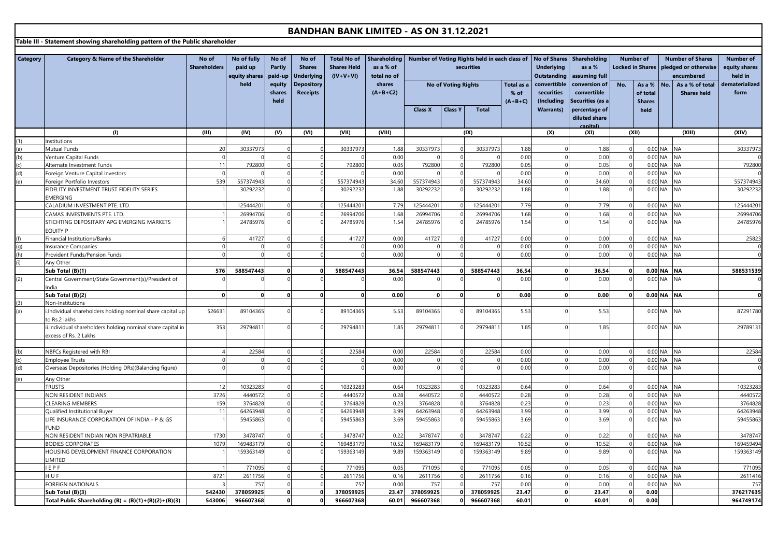**Table III - Statement showing shareholding pattern of the Public shareholder**

| held<br><b>Depository</b><br>shares<br><b>No of Voting Rights</b><br>converttible<br>equity<br>Total as a<br>conversion of<br>No.<br>No.<br>As a % of total<br>As a %<br><b>Receipts</b><br>$(A+B+C2)$<br>securities<br>convertible<br>shares<br>% of<br>of total<br><b>Shares held</b><br>(Including<br>Securities (as a<br>held<br>$(A+B+C)$<br><b>Shares</b><br><b>Class Y</b><br><b>Warrants)</b><br>percentage of<br><b>Class X</b><br><b>Total</b><br>held<br>diluted share<br>anital)<br>(VII)<br>(1)<br>(III)<br>(IV)<br>(V)<br>(VI)<br>(VIII)<br>(IX)<br>(X)<br>(XI)<br>(X I)<br>(XIII)<br><b>nstitutions</b><br><b>Mutual Funds</b><br>20<br>30337973<br>30337973<br>1.88<br>30337973<br>30337973<br>1.88<br>1.88<br>0.00 NA<br><b>NA</b><br>0.00<br>0.00 NA<br>0.00<br>0.00<br>$\Omega$<br><b>NA</b><br>(b)<br>Venture Capital Funds<br>792800<br>792800<br>0.05<br>792800<br>792800<br>0.05<br>0.05<br>0.00 NA<br><b>NA</b><br>11<br>Alternate Investment Funds<br>$\Omega$<br>(c)<br>0.00<br>0.00<br>0.00 NA<br><b>NA</b><br>0.00<br>(d)<br>oreign Venture Capital Investors<br>539<br>557374943<br>557374943<br>34.60<br>557374943<br>34.60<br>34.60<br>0.00 NA<br><b>NA</b><br>$\Omega$<br>557374943<br>$\overline{0}$<br>(e)<br>Foreign Portfolio Investors<br>$\Omega$<br>30292232<br>30292232<br>1.88<br>3029223<br>1.88<br>1.88<br>0.00 NA<br><b>NA</b><br>IDELITY INVESTMENT TRUST FIDELITY SERIES<br>30292232<br>MERGING<br>12544420<br>12544420<br>12544420<br>7.79<br>12544420<br>7.79<br>7.79<br>0.00 NA<br><b>NA</b><br>CALADIUM INVESTMENT PTE. LTD.<br>$\Omega$<br>26994706<br>26994706<br>1.68<br>2699470<br>1.68<br>1.68<br>0.00 NA<br><b>NA</b><br>26994706<br>CAMAS INVESTMENTS PTE. LTD.<br>$\Omega$<br>$\Omega$<br>1.54<br>0.00 NA<br>24785976<br>24785976<br>1.54<br>24785976<br>24785976<br>1.54<br><b>NA</b><br>STICHTING DEPOSITARY APG EMERGING MARKETS<br>$\Omega$<br><b>QUITY P</b><br>41727<br>41727<br>41727<br>0.00<br>$0.00$ NA<br>inancial Institutions/Banks<br>41727<br>0.00<br>0.00<br><b>NA</b><br>0.00<br>$0.00$ NA<br><b>NA</b><br>0.00<br>0.00<br>$\Omega$<br>nsurance Companies<br>$\Omega$<br>0.00<br>0.00<br>0.00 NA<br><b>NA</b><br>(h)<br>Provident Funds/Pension Funds<br>$\Omega$<br>0.00<br>$\Omega$<br>Any Other<br>0.00 NA NA<br>576<br>588547443<br>588547443<br>36.54<br>588547443<br>588547443<br>36.54<br>36.54<br>Sub Total (B)(1)<br>$\Omega$<br>$\Omega$<br>0.00<br>0.00<br>0.00<br>0.00 NA NA<br>(2)<br>Central Government/State Government(s)/President of<br>ndia<br>0.00 NA NA<br>Sub Total (B)(2)<br>0.00<br>0.00<br>0.00<br>$\Omega$<br>(3)<br>Non-Institutions<br>89104365<br>5.53<br>5.53<br>5.53<br>(a)<br>Individual shareholders holding nominal share capital up<br>52663<br>89104365<br>89104365<br>89104365<br>0.00 NA<br><b>NA</b><br>o Rs.2 lakhs<br>i.Individual shareholders holding nominal share capital in<br>2979481<br>1.85<br>2979481<br>1.85<br>1.85<br>353<br>2979481<br>2979481<br>0.00 NA<br><b>NA</b><br>excess of Rs. 2 Lakhs<br>22584<br>22584<br>0.00<br>22584<br>22584<br>0.00<br>0.00 NA NA<br>NBFCs Registered with RBI<br>$\Omega$<br>0.00<br>$\Omega$<br>(b)<br>0.00 NA NA<br>0.00<br>0.00<br>0.00<br><b>Employee Trusts</b><br>(c)<br>0.00<br>0.00 NA<br>0.00<br>0.00<br><b>NA</b><br>Overseas Depositories (Holding DRs)(Balancing figure)<br>(d)<br>Any Other<br>10323283<br><b>TRUSTS</b><br>12<br>10323283<br>10323283<br>0.64<br>10323283<br>0.64<br>0.00 NA NA<br>0.64<br>3726<br>0.28<br>0.00 NA NA<br>4440572<br>4440572<br>0.28<br>4440572<br>4440572<br>0.28<br><b>NON RESIDENT INDIANS</b><br>3764828<br>376482<br>0.23<br>0.00 NA<br>CLEARING MEMBERS<br>159<br>$\Omega$<br>3764828<br>0.23<br>376482<br>0.23<br><b>NA</b><br>$\Omega$<br>64263948<br>3.99<br>3.99<br>3.99<br>0.00 NA<br>11<br>64263948<br>64263948<br>64263948<br><b>NA</b><br>Qualified Institutional Buyer<br>59455863<br>3.69<br>59455863<br>3.69<br>3.69<br>0.00 NA<br><b>NA</b><br>LIFE INSURANCE CORPORATION OF INDIA - P & GS<br>59455863<br>59455863<br><b>UND</b><br>VON RESIDENT INDIAN NON REPATRIABLE<br>1730<br>3478747<br>3478747<br>0.22<br>3478747<br>3478747<br>0.22<br>0.00 NA NA<br>0.22<br>10.52<br>0.00 NA<br><b>NA</b><br>1079<br>16948317<br>16948317<br>16948317<br>169483179<br>10.52<br>10.52<br><b>BODIES CORPORATES</b><br>159363149<br>159363149<br>9.89<br>9.89<br>0.00 NA<br><b>NA</b><br>HOUSING DEVELOPMENT FINANCE CORPORATION<br>159363149<br>159363149<br>9.89<br><b>IMITED</b><br>EPF<br>0.05<br>77109<br>771095<br>0.05<br>0.00 NA NA<br>771095<br>77109<br>0.05<br>H U F<br>2611756<br>2611756<br>2611756<br>2611756<br>0.16<br>0.00 NA<br><b>NA</b><br>8721<br>$\Omega$<br>0.16<br>$\Omega$<br>0.16<br>$\overline{0}$<br>$\Omega$<br><b>FOREIGN NATIONALS</b><br>757<br>757<br>0.00<br>757<br>757<br>0.00<br>0.00 NA<br><b>NA</b><br>0.00<br>542430<br>378059925<br>378059925<br>23.47<br>378059925<br>378059925<br>23.47<br>23.47<br>0.00<br>$\mathbf 0$<br>$\mathbf{0}$<br>Sub Total (B)(3)<br>$\Omega$ | Category | Category & Name of the Shareholder                     | No of<br><b>Shareholders</b> | No of fully<br>paid up<br>equity shares | No of<br><b>Partly</b><br>paid-up | No of<br><b>Shares</b><br><b>Underlying</b> | <b>Total No of</b><br><b>Shares Held</b><br>$(IV+V+VI)$ | <b>Shareholding</b><br>as a % of<br>total no of | Number of Voting Rights held in each class of No of Shares<br>securities |  |           | <b>Underlying</b><br><b>Outstanding</b> | Shareholding<br>as a %<br>assuming full |       |          | <b>Number of</b><br><b>Number of Shares</b><br>Locked in Shares   pledged or otherwise<br>encumbered |  |  |                        |
|-------------------------------------------------------------------------------------------------------------------------------------------------------------------------------------------------------------------------------------------------------------------------------------------------------------------------------------------------------------------------------------------------------------------------------------------------------------------------------------------------------------------------------------------------------------------------------------------------------------------------------------------------------------------------------------------------------------------------------------------------------------------------------------------------------------------------------------------------------------------------------------------------------------------------------------------------------------------------------------------------------------------------------------------------------------------------------------------------------------------------------------------------------------------------------------------------------------------------------------------------------------------------------------------------------------------------------------------------------------------------------------------------------------------------------------------------------------------------------------------------------------------------------------------------------------------------------------------------------------------------------------------------------------------------------------------------------------------------------------------------------------------------------------------------------------------------------------------------------------------------------------------------------------------------------------------------------------------------------------------------------------------------------------------------------------------------------------------------------------------------------------------------------------------------------------------------------------------------------------------------------------------------------------------------------------------------------------------------------------------------------------------------------------------------------------------------------------------------------------------------------------------------------------------------------------------------------------------------------------------------------------------------------------------------------------------------------------------------------------------------------------------------------------------------------------------------------------------------------------------------------------------------------------------------------------------------------------------------------------------------------------------------------------------------------------------------------------------------------------------------------------------------------------------------------------------------------------------------------------------------------------------------------------------------------------------------------------------------------------------------------------------------------------------------------------------------------------------------------------------------------------------------------------------------------------------------------------------------------------------------------------------------------------------------------------------------------------------------------------------------------------------------------------------------------------------------------------------------------------------------------------------------------------------------------------------------------------------------------------------------------------------------------------------------------------------------------------------------------------------------------------------------------------------------------------------------------------------------------------------------------------------------------------------------------------------------------------------------------------------------------------------------------------------------------------------------------------------------------------------------------------------------------------------------------------------------------------------------------------------------------------------------------------------------------------------------------------------------------------------------------------------------------------------------------------------------------------------------------------------------------------------------------------------------------------------------------------------------------------------------------------------------------------------|----------|--------------------------------------------------------|------------------------------|-----------------------------------------|-----------------------------------|---------------------------------------------|---------------------------------------------------------|-------------------------------------------------|--------------------------------------------------------------------------|--|-----------|-----------------------------------------|-----------------------------------------|-------|----------|------------------------------------------------------------------------------------------------------|--|--|------------------------|
|                                                                                                                                                                                                                                                                                                                                                                                                                                                                                                                                                                                                                                                                                                                                                                                                                                                                                                                                                                                                                                                                                                                                                                                                                                                                                                                                                                                                                                                                                                                                                                                                                                                                                                                                                                                                                                                                                                                                                                                                                                                                                                                                                                                                                                                                                                                                                                                                                                                                                                                                                                                                                                                                                                                                                                                                                                                                                                                                                                                                                                                                                                                                                                                                                                                                                                                                                                                                                                                                                                                                                                                                                                                                                                                                                                                                                                                                                                                                                                                                                                                                                                                                                                                                                                                                                                                                                                                                                                                                                                                                                                                                                                                                                                                                                                                                                                                                                                                                                                                                                                           |          |                                                        |                              |                                         |                                   |                                             |                                                         |                                                 |                                                                          |  |           |                                         |                                         |       |          |                                                                                                      |  |  | dematerialized<br>form |
|                                                                                                                                                                                                                                                                                                                                                                                                                                                                                                                                                                                                                                                                                                                                                                                                                                                                                                                                                                                                                                                                                                                                                                                                                                                                                                                                                                                                                                                                                                                                                                                                                                                                                                                                                                                                                                                                                                                                                                                                                                                                                                                                                                                                                                                                                                                                                                                                                                                                                                                                                                                                                                                                                                                                                                                                                                                                                                                                                                                                                                                                                                                                                                                                                                                                                                                                                                                                                                                                                                                                                                                                                                                                                                                                                                                                                                                                                                                                                                                                                                                                                                                                                                                                                                                                                                                                                                                                                                                                                                                                                                                                                                                                                                                                                                                                                                                                                                                                                                                                                                           |          |                                                        |                              |                                         |                                   |                                             |                                                         |                                                 |                                                                          |  |           |                                         |                                         |       |          |                                                                                                      |  |  |                        |
|                                                                                                                                                                                                                                                                                                                                                                                                                                                                                                                                                                                                                                                                                                                                                                                                                                                                                                                                                                                                                                                                                                                                                                                                                                                                                                                                                                                                                                                                                                                                                                                                                                                                                                                                                                                                                                                                                                                                                                                                                                                                                                                                                                                                                                                                                                                                                                                                                                                                                                                                                                                                                                                                                                                                                                                                                                                                                                                                                                                                                                                                                                                                                                                                                                                                                                                                                                                                                                                                                                                                                                                                                                                                                                                                                                                                                                                                                                                                                                                                                                                                                                                                                                                                                                                                                                                                                                                                                                                                                                                                                                                                                                                                                                                                                                                                                                                                                                                                                                                                                                           |          |                                                        |                              |                                         |                                   |                                             |                                                         |                                                 |                                                                          |  |           |                                         |                                         |       |          |                                                                                                      |  |  | (XIV)                  |
|                                                                                                                                                                                                                                                                                                                                                                                                                                                                                                                                                                                                                                                                                                                                                                                                                                                                                                                                                                                                                                                                                                                                                                                                                                                                                                                                                                                                                                                                                                                                                                                                                                                                                                                                                                                                                                                                                                                                                                                                                                                                                                                                                                                                                                                                                                                                                                                                                                                                                                                                                                                                                                                                                                                                                                                                                                                                                                                                                                                                                                                                                                                                                                                                                                                                                                                                                                                                                                                                                                                                                                                                                                                                                                                                                                                                                                                                                                                                                                                                                                                                                                                                                                                                                                                                                                                                                                                                                                                                                                                                                                                                                                                                                                                                                                                                                                                                                                                                                                                                                                           |          |                                                        |                              |                                         |                                   |                                             |                                                         |                                                 |                                                                          |  |           |                                         |                                         |       |          |                                                                                                      |  |  |                        |
|                                                                                                                                                                                                                                                                                                                                                                                                                                                                                                                                                                                                                                                                                                                                                                                                                                                                                                                                                                                                                                                                                                                                                                                                                                                                                                                                                                                                                                                                                                                                                                                                                                                                                                                                                                                                                                                                                                                                                                                                                                                                                                                                                                                                                                                                                                                                                                                                                                                                                                                                                                                                                                                                                                                                                                                                                                                                                                                                                                                                                                                                                                                                                                                                                                                                                                                                                                                                                                                                                                                                                                                                                                                                                                                                                                                                                                                                                                                                                                                                                                                                                                                                                                                                                                                                                                                                                                                                                                                                                                                                                                                                                                                                                                                                                                                                                                                                                                                                                                                                                                           |          |                                                        |                              |                                         |                                   |                                             |                                                         |                                                 |                                                                          |  |           |                                         |                                         |       |          |                                                                                                      |  |  | 30337973               |
|                                                                                                                                                                                                                                                                                                                                                                                                                                                                                                                                                                                                                                                                                                                                                                                                                                                                                                                                                                                                                                                                                                                                                                                                                                                                                                                                                                                                                                                                                                                                                                                                                                                                                                                                                                                                                                                                                                                                                                                                                                                                                                                                                                                                                                                                                                                                                                                                                                                                                                                                                                                                                                                                                                                                                                                                                                                                                                                                                                                                                                                                                                                                                                                                                                                                                                                                                                                                                                                                                                                                                                                                                                                                                                                                                                                                                                                                                                                                                                                                                                                                                                                                                                                                                                                                                                                                                                                                                                                                                                                                                                                                                                                                                                                                                                                                                                                                                                                                                                                                                                           |          |                                                        |                              |                                         |                                   |                                             |                                                         |                                                 |                                                                          |  |           |                                         |                                         |       |          |                                                                                                      |  |  |                        |
|                                                                                                                                                                                                                                                                                                                                                                                                                                                                                                                                                                                                                                                                                                                                                                                                                                                                                                                                                                                                                                                                                                                                                                                                                                                                                                                                                                                                                                                                                                                                                                                                                                                                                                                                                                                                                                                                                                                                                                                                                                                                                                                                                                                                                                                                                                                                                                                                                                                                                                                                                                                                                                                                                                                                                                                                                                                                                                                                                                                                                                                                                                                                                                                                                                                                                                                                                                                                                                                                                                                                                                                                                                                                                                                                                                                                                                                                                                                                                                                                                                                                                                                                                                                                                                                                                                                                                                                                                                                                                                                                                                                                                                                                                                                                                                                                                                                                                                                                                                                                                                           |          |                                                        |                              |                                         |                                   |                                             |                                                         |                                                 |                                                                          |  |           |                                         |                                         |       |          |                                                                                                      |  |  | 792800                 |
|                                                                                                                                                                                                                                                                                                                                                                                                                                                                                                                                                                                                                                                                                                                                                                                                                                                                                                                                                                                                                                                                                                                                                                                                                                                                                                                                                                                                                                                                                                                                                                                                                                                                                                                                                                                                                                                                                                                                                                                                                                                                                                                                                                                                                                                                                                                                                                                                                                                                                                                                                                                                                                                                                                                                                                                                                                                                                                                                                                                                                                                                                                                                                                                                                                                                                                                                                                                                                                                                                                                                                                                                                                                                                                                                                                                                                                                                                                                                                                                                                                                                                                                                                                                                                                                                                                                                                                                                                                                                                                                                                                                                                                                                                                                                                                                                                                                                                                                                                                                                                                           |          |                                                        |                              |                                         |                                   |                                             |                                                         |                                                 |                                                                          |  |           |                                         |                                         |       |          |                                                                                                      |  |  | 557374943              |
|                                                                                                                                                                                                                                                                                                                                                                                                                                                                                                                                                                                                                                                                                                                                                                                                                                                                                                                                                                                                                                                                                                                                                                                                                                                                                                                                                                                                                                                                                                                                                                                                                                                                                                                                                                                                                                                                                                                                                                                                                                                                                                                                                                                                                                                                                                                                                                                                                                                                                                                                                                                                                                                                                                                                                                                                                                                                                                                                                                                                                                                                                                                                                                                                                                                                                                                                                                                                                                                                                                                                                                                                                                                                                                                                                                                                                                                                                                                                                                                                                                                                                                                                                                                                                                                                                                                                                                                                                                                                                                                                                                                                                                                                                                                                                                                                                                                                                                                                                                                                                                           |          |                                                        |                              |                                         |                                   |                                             |                                                         |                                                 |                                                                          |  |           |                                         |                                         |       |          |                                                                                                      |  |  | 30292232               |
|                                                                                                                                                                                                                                                                                                                                                                                                                                                                                                                                                                                                                                                                                                                                                                                                                                                                                                                                                                                                                                                                                                                                                                                                                                                                                                                                                                                                                                                                                                                                                                                                                                                                                                                                                                                                                                                                                                                                                                                                                                                                                                                                                                                                                                                                                                                                                                                                                                                                                                                                                                                                                                                                                                                                                                                                                                                                                                                                                                                                                                                                                                                                                                                                                                                                                                                                                                                                                                                                                                                                                                                                                                                                                                                                                                                                                                                                                                                                                                                                                                                                                                                                                                                                                                                                                                                                                                                                                                                                                                                                                                                                                                                                                                                                                                                                                                                                                                                                                                                                                                           |          |                                                        |                              |                                         |                                   |                                             |                                                         |                                                 |                                                                          |  |           |                                         |                                         |       |          |                                                                                                      |  |  |                        |
|                                                                                                                                                                                                                                                                                                                                                                                                                                                                                                                                                                                                                                                                                                                                                                                                                                                                                                                                                                                                                                                                                                                                                                                                                                                                                                                                                                                                                                                                                                                                                                                                                                                                                                                                                                                                                                                                                                                                                                                                                                                                                                                                                                                                                                                                                                                                                                                                                                                                                                                                                                                                                                                                                                                                                                                                                                                                                                                                                                                                                                                                                                                                                                                                                                                                                                                                                                                                                                                                                                                                                                                                                                                                                                                                                                                                                                                                                                                                                                                                                                                                                                                                                                                                                                                                                                                                                                                                                                                                                                                                                                                                                                                                                                                                                                                                                                                                                                                                                                                                                                           |          |                                                        |                              |                                         |                                   |                                             |                                                         |                                                 |                                                                          |  |           |                                         |                                         |       |          |                                                                                                      |  |  | 125444201              |
|                                                                                                                                                                                                                                                                                                                                                                                                                                                                                                                                                                                                                                                                                                                                                                                                                                                                                                                                                                                                                                                                                                                                                                                                                                                                                                                                                                                                                                                                                                                                                                                                                                                                                                                                                                                                                                                                                                                                                                                                                                                                                                                                                                                                                                                                                                                                                                                                                                                                                                                                                                                                                                                                                                                                                                                                                                                                                                                                                                                                                                                                                                                                                                                                                                                                                                                                                                                                                                                                                                                                                                                                                                                                                                                                                                                                                                                                                                                                                                                                                                                                                                                                                                                                                                                                                                                                                                                                                                                                                                                                                                                                                                                                                                                                                                                                                                                                                                                                                                                                                                           |          |                                                        |                              |                                         |                                   |                                             |                                                         |                                                 |                                                                          |  |           |                                         |                                         |       |          |                                                                                                      |  |  | 26994706               |
|                                                                                                                                                                                                                                                                                                                                                                                                                                                                                                                                                                                                                                                                                                                                                                                                                                                                                                                                                                                                                                                                                                                                                                                                                                                                                                                                                                                                                                                                                                                                                                                                                                                                                                                                                                                                                                                                                                                                                                                                                                                                                                                                                                                                                                                                                                                                                                                                                                                                                                                                                                                                                                                                                                                                                                                                                                                                                                                                                                                                                                                                                                                                                                                                                                                                                                                                                                                                                                                                                                                                                                                                                                                                                                                                                                                                                                                                                                                                                                                                                                                                                                                                                                                                                                                                                                                                                                                                                                                                                                                                                                                                                                                                                                                                                                                                                                                                                                                                                                                                                                           |          |                                                        |                              |                                         |                                   |                                             |                                                         |                                                 |                                                                          |  |           |                                         |                                         |       |          |                                                                                                      |  |  | 24785976               |
|                                                                                                                                                                                                                                                                                                                                                                                                                                                                                                                                                                                                                                                                                                                                                                                                                                                                                                                                                                                                                                                                                                                                                                                                                                                                                                                                                                                                                                                                                                                                                                                                                                                                                                                                                                                                                                                                                                                                                                                                                                                                                                                                                                                                                                                                                                                                                                                                                                                                                                                                                                                                                                                                                                                                                                                                                                                                                                                                                                                                                                                                                                                                                                                                                                                                                                                                                                                                                                                                                                                                                                                                                                                                                                                                                                                                                                                                                                                                                                                                                                                                                                                                                                                                                                                                                                                                                                                                                                                                                                                                                                                                                                                                                                                                                                                                                                                                                                                                                                                                                                           |          |                                                        |                              |                                         |                                   |                                             |                                                         |                                                 |                                                                          |  |           |                                         |                                         |       |          |                                                                                                      |  |  |                        |
|                                                                                                                                                                                                                                                                                                                                                                                                                                                                                                                                                                                                                                                                                                                                                                                                                                                                                                                                                                                                                                                                                                                                                                                                                                                                                                                                                                                                                                                                                                                                                                                                                                                                                                                                                                                                                                                                                                                                                                                                                                                                                                                                                                                                                                                                                                                                                                                                                                                                                                                                                                                                                                                                                                                                                                                                                                                                                                                                                                                                                                                                                                                                                                                                                                                                                                                                                                                                                                                                                                                                                                                                                                                                                                                                                                                                                                                                                                                                                                                                                                                                                                                                                                                                                                                                                                                                                                                                                                                                                                                                                                                                                                                                                                                                                                                                                                                                                                                                                                                                                                           |          |                                                        |                              |                                         |                                   |                                             |                                                         |                                                 |                                                                          |  |           |                                         |                                         |       |          |                                                                                                      |  |  | 25823                  |
|                                                                                                                                                                                                                                                                                                                                                                                                                                                                                                                                                                                                                                                                                                                                                                                                                                                                                                                                                                                                                                                                                                                                                                                                                                                                                                                                                                                                                                                                                                                                                                                                                                                                                                                                                                                                                                                                                                                                                                                                                                                                                                                                                                                                                                                                                                                                                                                                                                                                                                                                                                                                                                                                                                                                                                                                                                                                                                                                                                                                                                                                                                                                                                                                                                                                                                                                                                                                                                                                                                                                                                                                                                                                                                                                                                                                                                                                                                                                                                                                                                                                                                                                                                                                                                                                                                                                                                                                                                                                                                                                                                                                                                                                                                                                                                                                                                                                                                                                                                                                                                           |          |                                                        |                              |                                         |                                   |                                             |                                                         |                                                 |                                                                          |  |           |                                         |                                         |       |          |                                                                                                      |  |  | $\mathbf 0$            |
|                                                                                                                                                                                                                                                                                                                                                                                                                                                                                                                                                                                                                                                                                                                                                                                                                                                                                                                                                                                                                                                                                                                                                                                                                                                                                                                                                                                                                                                                                                                                                                                                                                                                                                                                                                                                                                                                                                                                                                                                                                                                                                                                                                                                                                                                                                                                                                                                                                                                                                                                                                                                                                                                                                                                                                                                                                                                                                                                                                                                                                                                                                                                                                                                                                                                                                                                                                                                                                                                                                                                                                                                                                                                                                                                                                                                                                                                                                                                                                                                                                                                                                                                                                                                                                                                                                                                                                                                                                                                                                                                                                                                                                                                                                                                                                                                                                                                                                                                                                                                                                           |          |                                                        |                              |                                         |                                   |                                             |                                                         |                                                 |                                                                          |  |           |                                         |                                         |       |          |                                                                                                      |  |  | $\mathbf{0}$           |
|                                                                                                                                                                                                                                                                                                                                                                                                                                                                                                                                                                                                                                                                                                                                                                                                                                                                                                                                                                                                                                                                                                                                                                                                                                                                                                                                                                                                                                                                                                                                                                                                                                                                                                                                                                                                                                                                                                                                                                                                                                                                                                                                                                                                                                                                                                                                                                                                                                                                                                                                                                                                                                                                                                                                                                                                                                                                                                                                                                                                                                                                                                                                                                                                                                                                                                                                                                                                                                                                                                                                                                                                                                                                                                                                                                                                                                                                                                                                                                                                                                                                                                                                                                                                                                                                                                                                                                                                                                                                                                                                                                                                                                                                                                                                                                                                                                                                                                                                                                                                                                           |          |                                                        |                              |                                         |                                   |                                             |                                                         |                                                 |                                                                          |  |           |                                         |                                         |       |          |                                                                                                      |  |  |                        |
|                                                                                                                                                                                                                                                                                                                                                                                                                                                                                                                                                                                                                                                                                                                                                                                                                                                                                                                                                                                                                                                                                                                                                                                                                                                                                                                                                                                                                                                                                                                                                                                                                                                                                                                                                                                                                                                                                                                                                                                                                                                                                                                                                                                                                                                                                                                                                                                                                                                                                                                                                                                                                                                                                                                                                                                                                                                                                                                                                                                                                                                                                                                                                                                                                                                                                                                                                                                                                                                                                                                                                                                                                                                                                                                                                                                                                                                                                                                                                                                                                                                                                                                                                                                                                                                                                                                                                                                                                                                                                                                                                                                                                                                                                                                                                                                                                                                                                                                                                                                                                                           |          |                                                        |                              |                                         |                                   |                                             |                                                         |                                                 |                                                                          |  |           |                                         |                                         |       |          |                                                                                                      |  |  | 588531539              |
|                                                                                                                                                                                                                                                                                                                                                                                                                                                                                                                                                                                                                                                                                                                                                                                                                                                                                                                                                                                                                                                                                                                                                                                                                                                                                                                                                                                                                                                                                                                                                                                                                                                                                                                                                                                                                                                                                                                                                                                                                                                                                                                                                                                                                                                                                                                                                                                                                                                                                                                                                                                                                                                                                                                                                                                                                                                                                                                                                                                                                                                                                                                                                                                                                                                                                                                                                                                                                                                                                                                                                                                                                                                                                                                                                                                                                                                                                                                                                                                                                                                                                                                                                                                                                                                                                                                                                                                                                                                                                                                                                                                                                                                                                                                                                                                                                                                                                                                                                                                                                                           |          |                                                        |                              |                                         |                                   |                                             |                                                         |                                                 |                                                                          |  |           |                                         |                                         |       |          |                                                                                                      |  |  | $\mathbf{0}$           |
|                                                                                                                                                                                                                                                                                                                                                                                                                                                                                                                                                                                                                                                                                                                                                                                                                                                                                                                                                                                                                                                                                                                                                                                                                                                                                                                                                                                                                                                                                                                                                                                                                                                                                                                                                                                                                                                                                                                                                                                                                                                                                                                                                                                                                                                                                                                                                                                                                                                                                                                                                                                                                                                                                                                                                                                                                                                                                                                                                                                                                                                                                                                                                                                                                                                                                                                                                                                                                                                                                                                                                                                                                                                                                                                                                                                                                                                                                                                                                                                                                                                                                                                                                                                                                                                                                                                                                                                                                                                                                                                                                                                                                                                                                                                                                                                                                                                                                                                                                                                                                                           |          |                                                        |                              |                                         |                                   |                                             |                                                         |                                                 |                                                                          |  |           |                                         |                                         |       |          |                                                                                                      |  |  |                        |
|                                                                                                                                                                                                                                                                                                                                                                                                                                                                                                                                                                                                                                                                                                                                                                                                                                                                                                                                                                                                                                                                                                                                                                                                                                                                                                                                                                                                                                                                                                                                                                                                                                                                                                                                                                                                                                                                                                                                                                                                                                                                                                                                                                                                                                                                                                                                                                                                                                                                                                                                                                                                                                                                                                                                                                                                                                                                                                                                                                                                                                                                                                                                                                                                                                                                                                                                                                                                                                                                                                                                                                                                                                                                                                                                                                                                                                                                                                                                                                                                                                                                                                                                                                                                                                                                                                                                                                                                                                                                                                                                                                                                                                                                                                                                                                                                                                                                                                                                                                                                                                           |          |                                                        |                              |                                         |                                   |                                             |                                                         |                                                 |                                                                          |  |           |                                         |                                         |       |          |                                                                                                      |  |  | $\Omega$               |
|                                                                                                                                                                                                                                                                                                                                                                                                                                                                                                                                                                                                                                                                                                                                                                                                                                                                                                                                                                                                                                                                                                                                                                                                                                                                                                                                                                                                                                                                                                                                                                                                                                                                                                                                                                                                                                                                                                                                                                                                                                                                                                                                                                                                                                                                                                                                                                                                                                                                                                                                                                                                                                                                                                                                                                                                                                                                                                                                                                                                                                                                                                                                                                                                                                                                                                                                                                                                                                                                                                                                                                                                                                                                                                                                                                                                                                                                                                                                                                                                                                                                                                                                                                                                                                                                                                                                                                                                                                                                                                                                                                                                                                                                                                                                                                                                                                                                                                                                                                                                                                           |          |                                                        |                              |                                         |                                   |                                             |                                                         |                                                 |                                                                          |  |           |                                         |                                         |       |          |                                                                                                      |  |  |                        |
|                                                                                                                                                                                                                                                                                                                                                                                                                                                                                                                                                                                                                                                                                                                                                                                                                                                                                                                                                                                                                                                                                                                                                                                                                                                                                                                                                                                                                                                                                                                                                                                                                                                                                                                                                                                                                                                                                                                                                                                                                                                                                                                                                                                                                                                                                                                                                                                                                                                                                                                                                                                                                                                                                                                                                                                                                                                                                                                                                                                                                                                                                                                                                                                                                                                                                                                                                                                                                                                                                                                                                                                                                                                                                                                                                                                                                                                                                                                                                                                                                                                                                                                                                                                                                                                                                                                                                                                                                                                                                                                                                                                                                                                                                                                                                                                                                                                                                                                                                                                                                                           |          |                                                        |                              |                                         |                                   |                                             |                                                         |                                                 |                                                                          |  |           |                                         |                                         |       |          |                                                                                                      |  |  | 87291780               |
|                                                                                                                                                                                                                                                                                                                                                                                                                                                                                                                                                                                                                                                                                                                                                                                                                                                                                                                                                                                                                                                                                                                                                                                                                                                                                                                                                                                                                                                                                                                                                                                                                                                                                                                                                                                                                                                                                                                                                                                                                                                                                                                                                                                                                                                                                                                                                                                                                                                                                                                                                                                                                                                                                                                                                                                                                                                                                                                                                                                                                                                                                                                                                                                                                                                                                                                                                                                                                                                                                                                                                                                                                                                                                                                                                                                                                                                                                                                                                                                                                                                                                                                                                                                                                                                                                                                                                                                                                                                                                                                                                                                                                                                                                                                                                                                                                                                                                                                                                                                                                                           |          |                                                        |                              |                                         |                                   |                                             |                                                         |                                                 |                                                                          |  |           |                                         |                                         |       |          |                                                                                                      |  |  | 29789131               |
|                                                                                                                                                                                                                                                                                                                                                                                                                                                                                                                                                                                                                                                                                                                                                                                                                                                                                                                                                                                                                                                                                                                                                                                                                                                                                                                                                                                                                                                                                                                                                                                                                                                                                                                                                                                                                                                                                                                                                                                                                                                                                                                                                                                                                                                                                                                                                                                                                                                                                                                                                                                                                                                                                                                                                                                                                                                                                                                                                                                                                                                                                                                                                                                                                                                                                                                                                                                                                                                                                                                                                                                                                                                                                                                                                                                                                                                                                                                                                                                                                                                                                                                                                                                                                                                                                                                                                                                                                                                                                                                                                                                                                                                                                                                                                                                                                                                                                                                                                                                                                                           |          |                                                        |                              |                                         |                                   |                                             |                                                         |                                                 |                                                                          |  |           |                                         |                                         |       |          |                                                                                                      |  |  |                        |
|                                                                                                                                                                                                                                                                                                                                                                                                                                                                                                                                                                                                                                                                                                                                                                                                                                                                                                                                                                                                                                                                                                                                                                                                                                                                                                                                                                                                                                                                                                                                                                                                                                                                                                                                                                                                                                                                                                                                                                                                                                                                                                                                                                                                                                                                                                                                                                                                                                                                                                                                                                                                                                                                                                                                                                                                                                                                                                                                                                                                                                                                                                                                                                                                                                                                                                                                                                                                                                                                                                                                                                                                                                                                                                                                                                                                                                                                                                                                                                                                                                                                                                                                                                                                                                                                                                                                                                                                                                                                                                                                                                                                                                                                                                                                                                                                                                                                                                                                                                                                                                           |          |                                                        |                              |                                         |                                   |                                             |                                                         |                                                 |                                                                          |  |           |                                         |                                         |       |          |                                                                                                      |  |  |                        |
|                                                                                                                                                                                                                                                                                                                                                                                                                                                                                                                                                                                                                                                                                                                                                                                                                                                                                                                                                                                                                                                                                                                                                                                                                                                                                                                                                                                                                                                                                                                                                                                                                                                                                                                                                                                                                                                                                                                                                                                                                                                                                                                                                                                                                                                                                                                                                                                                                                                                                                                                                                                                                                                                                                                                                                                                                                                                                                                                                                                                                                                                                                                                                                                                                                                                                                                                                                                                                                                                                                                                                                                                                                                                                                                                                                                                                                                                                                                                                                                                                                                                                                                                                                                                                                                                                                                                                                                                                                                                                                                                                                                                                                                                                                                                                                                                                                                                                                                                                                                                                                           |          |                                                        |                              |                                         |                                   |                                             |                                                         |                                                 |                                                                          |  |           |                                         |                                         |       |          |                                                                                                      |  |  | 22584                  |
|                                                                                                                                                                                                                                                                                                                                                                                                                                                                                                                                                                                                                                                                                                                                                                                                                                                                                                                                                                                                                                                                                                                                                                                                                                                                                                                                                                                                                                                                                                                                                                                                                                                                                                                                                                                                                                                                                                                                                                                                                                                                                                                                                                                                                                                                                                                                                                                                                                                                                                                                                                                                                                                                                                                                                                                                                                                                                                                                                                                                                                                                                                                                                                                                                                                                                                                                                                                                                                                                                                                                                                                                                                                                                                                                                                                                                                                                                                                                                                                                                                                                                                                                                                                                                                                                                                                                                                                                                                                                                                                                                                                                                                                                                                                                                                                                                                                                                                                                                                                                                                           |          |                                                        |                              |                                         |                                   |                                             |                                                         |                                                 |                                                                          |  |           |                                         |                                         |       |          |                                                                                                      |  |  | $\mathbf 0$            |
|                                                                                                                                                                                                                                                                                                                                                                                                                                                                                                                                                                                                                                                                                                                                                                                                                                                                                                                                                                                                                                                                                                                                                                                                                                                                                                                                                                                                                                                                                                                                                                                                                                                                                                                                                                                                                                                                                                                                                                                                                                                                                                                                                                                                                                                                                                                                                                                                                                                                                                                                                                                                                                                                                                                                                                                                                                                                                                                                                                                                                                                                                                                                                                                                                                                                                                                                                                                                                                                                                                                                                                                                                                                                                                                                                                                                                                                                                                                                                                                                                                                                                                                                                                                                                                                                                                                                                                                                                                                                                                                                                                                                                                                                                                                                                                                                                                                                                                                                                                                                                                           |          |                                                        |                              |                                         |                                   |                                             |                                                         |                                                 |                                                                          |  |           |                                         |                                         |       |          |                                                                                                      |  |  | $\mathbf 0$            |
|                                                                                                                                                                                                                                                                                                                                                                                                                                                                                                                                                                                                                                                                                                                                                                                                                                                                                                                                                                                                                                                                                                                                                                                                                                                                                                                                                                                                                                                                                                                                                                                                                                                                                                                                                                                                                                                                                                                                                                                                                                                                                                                                                                                                                                                                                                                                                                                                                                                                                                                                                                                                                                                                                                                                                                                                                                                                                                                                                                                                                                                                                                                                                                                                                                                                                                                                                                                                                                                                                                                                                                                                                                                                                                                                                                                                                                                                                                                                                                                                                                                                                                                                                                                                                                                                                                                                                                                                                                                                                                                                                                                                                                                                                                                                                                                                                                                                                                                                                                                                                                           |          |                                                        |                              |                                         |                                   |                                             |                                                         |                                                 |                                                                          |  |           |                                         |                                         |       |          |                                                                                                      |  |  |                        |
|                                                                                                                                                                                                                                                                                                                                                                                                                                                                                                                                                                                                                                                                                                                                                                                                                                                                                                                                                                                                                                                                                                                                                                                                                                                                                                                                                                                                                                                                                                                                                                                                                                                                                                                                                                                                                                                                                                                                                                                                                                                                                                                                                                                                                                                                                                                                                                                                                                                                                                                                                                                                                                                                                                                                                                                                                                                                                                                                                                                                                                                                                                                                                                                                                                                                                                                                                                                                                                                                                                                                                                                                                                                                                                                                                                                                                                                                                                                                                                                                                                                                                                                                                                                                                                                                                                                                                                                                                                                                                                                                                                                                                                                                                                                                                                                                                                                                                                                                                                                                                                           |          |                                                        |                              |                                         |                                   |                                             |                                                         |                                                 |                                                                          |  |           |                                         |                                         |       |          |                                                                                                      |  |  | 10323283               |
|                                                                                                                                                                                                                                                                                                                                                                                                                                                                                                                                                                                                                                                                                                                                                                                                                                                                                                                                                                                                                                                                                                                                                                                                                                                                                                                                                                                                                                                                                                                                                                                                                                                                                                                                                                                                                                                                                                                                                                                                                                                                                                                                                                                                                                                                                                                                                                                                                                                                                                                                                                                                                                                                                                                                                                                                                                                                                                                                                                                                                                                                                                                                                                                                                                                                                                                                                                                                                                                                                                                                                                                                                                                                                                                                                                                                                                                                                                                                                                                                                                                                                                                                                                                                                                                                                                                                                                                                                                                                                                                                                                                                                                                                                                                                                                                                                                                                                                                                                                                                                                           |          |                                                        |                              |                                         |                                   |                                             |                                                         |                                                 |                                                                          |  |           |                                         |                                         |       |          |                                                                                                      |  |  | 4440572                |
|                                                                                                                                                                                                                                                                                                                                                                                                                                                                                                                                                                                                                                                                                                                                                                                                                                                                                                                                                                                                                                                                                                                                                                                                                                                                                                                                                                                                                                                                                                                                                                                                                                                                                                                                                                                                                                                                                                                                                                                                                                                                                                                                                                                                                                                                                                                                                                                                                                                                                                                                                                                                                                                                                                                                                                                                                                                                                                                                                                                                                                                                                                                                                                                                                                                                                                                                                                                                                                                                                                                                                                                                                                                                                                                                                                                                                                                                                                                                                                                                                                                                                                                                                                                                                                                                                                                                                                                                                                                                                                                                                                                                                                                                                                                                                                                                                                                                                                                                                                                                                                           |          |                                                        |                              |                                         |                                   |                                             |                                                         |                                                 |                                                                          |  |           |                                         |                                         |       |          |                                                                                                      |  |  | 3764828                |
|                                                                                                                                                                                                                                                                                                                                                                                                                                                                                                                                                                                                                                                                                                                                                                                                                                                                                                                                                                                                                                                                                                                                                                                                                                                                                                                                                                                                                                                                                                                                                                                                                                                                                                                                                                                                                                                                                                                                                                                                                                                                                                                                                                                                                                                                                                                                                                                                                                                                                                                                                                                                                                                                                                                                                                                                                                                                                                                                                                                                                                                                                                                                                                                                                                                                                                                                                                                                                                                                                                                                                                                                                                                                                                                                                                                                                                                                                                                                                                                                                                                                                                                                                                                                                                                                                                                                                                                                                                                                                                                                                                                                                                                                                                                                                                                                                                                                                                                                                                                                                                           |          |                                                        |                              |                                         |                                   |                                             |                                                         |                                                 |                                                                          |  |           |                                         |                                         |       |          |                                                                                                      |  |  | 64263948               |
|                                                                                                                                                                                                                                                                                                                                                                                                                                                                                                                                                                                                                                                                                                                                                                                                                                                                                                                                                                                                                                                                                                                                                                                                                                                                                                                                                                                                                                                                                                                                                                                                                                                                                                                                                                                                                                                                                                                                                                                                                                                                                                                                                                                                                                                                                                                                                                                                                                                                                                                                                                                                                                                                                                                                                                                                                                                                                                                                                                                                                                                                                                                                                                                                                                                                                                                                                                                                                                                                                                                                                                                                                                                                                                                                                                                                                                                                                                                                                                                                                                                                                                                                                                                                                                                                                                                                                                                                                                                                                                                                                                                                                                                                                                                                                                                                                                                                                                                                                                                                                                           |          |                                                        |                              |                                         |                                   |                                             |                                                         |                                                 |                                                                          |  |           |                                         |                                         |       |          |                                                                                                      |  |  | 59455863               |
|                                                                                                                                                                                                                                                                                                                                                                                                                                                                                                                                                                                                                                                                                                                                                                                                                                                                                                                                                                                                                                                                                                                                                                                                                                                                                                                                                                                                                                                                                                                                                                                                                                                                                                                                                                                                                                                                                                                                                                                                                                                                                                                                                                                                                                                                                                                                                                                                                                                                                                                                                                                                                                                                                                                                                                                                                                                                                                                                                                                                                                                                                                                                                                                                                                                                                                                                                                                                                                                                                                                                                                                                                                                                                                                                                                                                                                                                                                                                                                                                                                                                                                                                                                                                                                                                                                                                                                                                                                                                                                                                                                                                                                                                                                                                                                                                                                                                                                                                                                                                                                           |          |                                                        |                              |                                         |                                   |                                             |                                                         |                                                 |                                                                          |  |           |                                         |                                         |       |          |                                                                                                      |  |  |                        |
|                                                                                                                                                                                                                                                                                                                                                                                                                                                                                                                                                                                                                                                                                                                                                                                                                                                                                                                                                                                                                                                                                                                                                                                                                                                                                                                                                                                                                                                                                                                                                                                                                                                                                                                                                                                                                                                                                                                                                                                                                                                                                                                                                                                                                                                                                                                                                                                                                                                                                                                                                                                                                                                                                                                                                                                                                                                                                                                                                                                                                                                                                                                                                                                                                                                                                                                                                                                                                                                                                                                                                                                                                                                                                                                                                                                                                                                                                                                                                                                                                                                                                                                                                                                                                                                                                                                                                                                                                                                                                                                                                                                                                                                                                                                                                                                                                                                                                                                                                                                                                                           |          |                                                        |                              |                                         |                                   |                                             |                                                         |                                                 |                                                                          |  |           |                                         |                                         |       |          |                                                                                                      |  |  | 3478747                |
|                                                                                                                                                                                                                                                                                                                                                                                                                                                                                                                                                                                                                                                                                                                                                                                                                                                                                                                                                                                                                                                                                                                                                                                                                                                                                                                                                                                                                                                                                                                                                                                                                                                                                                                                                                                                                                                                                                                                                                                                                                                                                                                                                                                                                                                                                                                                                                                                                                                                                                                                                                                                                                                                                                                                                                                                                                                                                                                                                                                                                                                                                                                                                                                                                                                                                                                                                                                                                                                                                                                                                                                                                                                                                                                                                                                                                                                                                                                                                                                                                                                                                                                                                                                                                                                                                                                                                                                                                                                                                                                                                                                                                                                                                                                                                                                                                                                                                                                                                                                                                                           |          |                                                        |                              |                                         |                                   |                                             |                                                         |                                                 |                                                                          |  |           |                                         |                                         |       |          |                                                                                                      |  |  | 169459494              |
|                                                                                                                                                                                                                                                                                                                                                                                                                                                                                                                                                                                                                                                                                                                                                                                                                                                                                                                                                                                                                                                                                                                                                                                                                                                                                                                                                                                                                                                                                                                                                                                                                                                                                                                                                                                                                                                                                                                                                                                                                                                                                                                                                                                                                                                                                                                                                                                                                                                                                                                                                                                                                                                                                                                                                                                                                                                                                                                                                                                                                                                                                                                                                                                                                                                                                                                                                                                                                                                                                                                                                                                                                                                                                                                                                                                                                                                                                                                                                                                                                                                                                                                                                                                                                                                                                                                                                                                                                                                                                                                                                                                                                                                                                                                                                                                                                                                                                                                                                                                                                                           |          |                                                        |                              |                                         |                                   |                                             |                                                         |                                                 |                                                                          |  |           |                                         |                                         |       |          |                                                                                                      |  |  | 159363149              |
|                                                                                                                                                                                                                                                                                                                                                                                                                                                                                                                                                                                                                                                                                                                                                                                                                                                                                                                                                                                                                                                                                                                                                                                                                                                                                                                                                                                                                                                                                                                                                                                                                                                                                                                                                                                                                                                                                                                                                                                                                                                                                                                                                                                                                                                                                                                                                                                                                                                                                                                                                                                                                                                                                                                                                                                                                                                                                                                                                                                                                                                                                                                                                                                                                                                                                                                                                                                                                                                                                                                                                                                                                                                                                                                                                                                                                                                                                                                                                                                                                                                                                                                                                                                                                                                                                                                                                                                                                                                                                                                                                                                                                                                                                                                                                                                                                                                                                                                                                                                                                                           |          |                                                        |                              |                                         |                                   |                                             |                                                         |                                                 |                                                                          |  |           |                                         |                                         |       |          |                                                                                                      |  |  | 771095                 |
|                                                                                                                                                                                                                                                                                                                                                                                                                                                                                                                                                                                                                                                                                                                                                                                                                                                                                                                                                                                                                                                                                                                                                                                                                                                                                                                                                                                                                                                                                                                                                                                                                                                                                                                                                                                                                                                                                                                                                                                                                                                                                                                                                                                                                                                                                                                                                                                                                                                                                                                                                                                                                                                                                                                                                                                                                                                                                                                                                                                                                                                                                                                                                                                                                                                                                                                                                                                                                                                                                                                                                                                                                                                                                                                                                                                                                                                                                                                                                                                                                                                                                                                                                                                                                                                                                                                                                                                                                                                                                                                                                                                                                                                                                                                                                                                                                                                                                                                                                                                                                                           |          |                                                        |                              |                                         |                                   |                                             |                                                         |                                                 |                                                                          |  |           |                                         |                                         |       |          |                                                                                                      |  |  | 2611416                |
|                                                                                                                                                                                                                                                                                                                                                                                                                                                                                                                                                                                                                                                                                                                                                                                                                                                                                                                                                                                                                                                                                                                                                                                                                                                                                                                                                                                                                                                                                                                                                                                                                                                                                                                                                                                                                                                                                                                                                                                                                                                                                                                                                                                                                                                                                                                                                                                                                                                                                                                                                                                                                                                                                                                                                                                                                                                                                                                                                                                                                                                                                                                                                                                                                                                                                                                                                                                                                                                                                                                                                                                                                                                                                                                                                                                                                                                                                                                                                                                                                                                                                                                                                                                                                                                                                                                                                                                                                                                                                                                                                                                                                                                                                                                                                                                                                                                                                                                                                                                                                                           |          |                                                        |                              |                                         |                                   |                                             |                                                         |                                                 |                                                                          |  |           |                                         |                                         |       |          |                                                                                                      |  |  | 757                    |
|                                                                                                                                                                                                                                                                                                                                                                                                                                                                                                                                                                                                                                                                                                                                                                                                                                                                                                                                                                                                                                                                                                                                                                                                                                                                                                                                                                                                                                                                                                                                                                                                                                                                                                                                                                                                                                                                                                                                                                                                                                                                                                                                                                                                                                                                                                                                                                                                                                                                                                                                                                                                                                                                                                                                                                                                                                                                                                                                                                                                                                                                                                                                                                                                                                                                                                                                                                                                                                                                                                                                                                                                                                                                                                                                                                                                                                                                                                                                                                                                                                                                                                                                                                                                                                                                                                                                                                                                                                                                                                                                                                                                                                                                                                                                                                                                                                                                                                                                                                                                                                           |          |                                                        |                              |                                         |                                   |                                             |                                                         |                                                 |                                                                          |  |           |                                         |                                         |       |          |                                                                                                      |  |  | 376217635              |
|                                                                                                                                                                                                                                                                                                                                                                                                                                                                                                                                                                                                                                                                                                                                                                                                                                                                                                                                                                                                                                                                                                                                                                                                                                                                                                                                                                                                                                                                                                                                                                                                                                                                                                                                                                                                                                                                                                                                                                                                                                                                                                                                                                                                                                                                                                                                                                                                                                                                                                                                                                                                                                                                                                                                                                                                                                                                                                                                                                                                                                                                                                                                                                                                                                                                                                                                                                                                                                                                                                                                                                                                                                                                                                                                                                                                                                                                                                                                                                                                                                                                                                                                                                                                                                                                                                                                                                                                                                                                                                                                                                                                                                                                                                                                                                                                                                                                                                                                                                                                                                           |          | Total Public Shareholding (B) = $(B)(1)+(B)(2)+(B)(3)$ | 543006                       | 966607368                               |                                   |                                             | 966607368                                               | 60.01                                           | 966607368                                                                |  | 966607368 | 60.01                                   |                                         | 60.01 | $\Omega$ | 0.00                                                                                                 |  |  | 964749174              |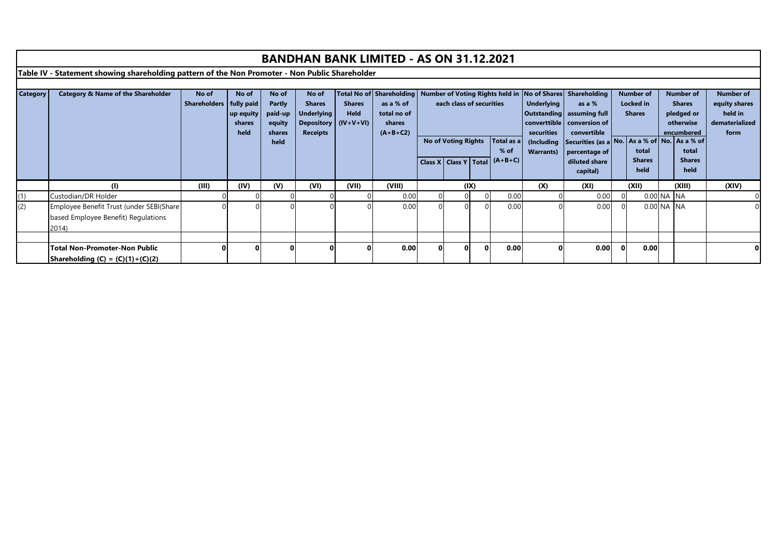|                 |                                                                                                |              |            |               |                   |               | <b>BANDHAN BANK LIMITED - AS ON 31.12.2021</b> |          |                            |  |            |                   |                                                                        |                |                  |            |                  |                  |
|-----------------|------------------------------------------------------------------------------------------------|--------------|------------|---------------|-------------------|---------------|------------------------------------------------|----------|----------------------------|--|------------|-------------------|------------------------------------------------------------------------|----------------|------------------|------------|------------------|------------------|
|                 | Table IV - Statement showing shareholding pattern of the Non Promoter - Non Public Shareholder |              |            |               |                   |               |                                                |          |                            |  |            |                   |                                                                        |                |                  |            |                  |                  |
|                 |                                                                                                |              |            |               |                   |               |                                                |          |                            |  |            |                   |                                                                        |                |                  |            |                  |                  |
| <b>Category</b> | <b>Category &amp; Name of the Shareholder</b>                                                  | No of        | No of      | No of         | No of             |               | Total No of Shareholding                       |          |                            |  |            |                   | Number of Voting Rights held in   No of Shares   Shareholding          |                | <b>Number of</b> |            | <b>Number of</b> | <b>Number of</b> |
|                 |                                                                                                | Shareholders | fully paid | <b>Partly</b> | <b>Shares</b>     | <b>Shares</b> | as a % of                                      |          | each class of securities   |  |            | <b>Underlying</b> | as a %                                                                 |                | <b>Locked</b> in |            | <b>Shares</b>    | equity shares    |
|                 |                                                                                                |              | up equity  | paid-up       | <b>Underlying</b> | Held          | total no of                                    |          |                            |  |            |                   | Outstanding   assuming full                                            |                | <b>Shares</b>    |            | pledged or       | held in          |
|                 |                                                                                                |              | shares     | equity        | <b>Depository</b> | $(IV+V+VI)$   | shares                                         |          |                            |  |            |                   | converttible   conversion of                                           |                |                  |            | otherwise        | dematerialized   |
|                 |                                                                                                |              | held       | shares        | <b>Receipts</b>   |               | $(A+B+C2)$                                     |          | <b>No of Voting Rights</b> |  | Total as a | securities        | convertible<br>(Including Securities (as a No. As a % of No. As a % of |                |                  |            | encumbered       | form             |
|                 |                                                                                                |              |            | held          |                   |               |                                                |          |                            |  | $%$ of     | <b>Warrants</b> ) |                                                                        |                | total            |            | total            |                  |
|                 |                                                                                                |              |            |               |                   |               |                                                |          | Class X   Class Y   Total  |  | $(A+B+C)$  |                   | percentage of<br>diluted share                                         |                | <b>Shares</b>    |            | <b>Shares</b>    |                  |
|                 |                                                                                                |              |            |               |                   |               |                                                |          |                            |  |            |                   | capital)                                                               |                | held             |            | held             |                  |
|                 |                                                                                                |              |            |               |                   |               |                                                |          |                            |  |            |                   |                                                                        |                |                  |            |                  |                  |
|                 | (1)                                                                                            | (III)        | (IV)       | (V)           | (VI)              | (VII)         | (VIII)                                         |          | (IX)                       |  |            | (X)               | (XI)                                                                   |                | (XII)            |            | (XIII)           | (XIV)            |
| (1)             | Custodian/DR Holder                                                                            |              |            |               |                   |               | 0.00                                           |          | $\overline{0}$             |  | 0.00       |                   | 0.00                                                                   | $\overline{0}$ |                  | 0.00 NA NA |                  |                  |
| (2)             | Employee Benefit Trust (under SEBI(Share                                                       |              |            |               |                   |               | 0.00                                           |          |                            |  | 0.00       |                   | 0.00                                                                   |                |                  | 0.00 NA NA |                  |                  |
|                 | based Employee Benefit) Regulations                                                            |              |            |               |                   |               |                                                |          |                            |  |            |                   |                                                                        |                |                  |            |                  |                  |
|                 | 2014)                                                                                          |              |            |               |                   |               |                                                |          |                            |  |            |                   |                                                                        |                |                  |            |                  |                  |
|                 |                                                                                                |              |            |               |                   |               |                                                |          |                            |  |            |                   |                                                                        |                |                  |            |                  |                  |
|                 | <b>Total Non-Promoter-Non Public</b>                                                           |              |            |               |                   |               | 0.00                                           | $\Omega$ |                            |  | 0.00       |                   | 0.00                                                                   | $\Omega$       | 0.00             |            |                  |                  |
|                 | Shareholding $(C) = (C)(1)+(C)(2)$                                                             |              |            |               |                   |               |                                                |          |                            |  |            |                   |                                                                        |                |                  |            |                  |                  |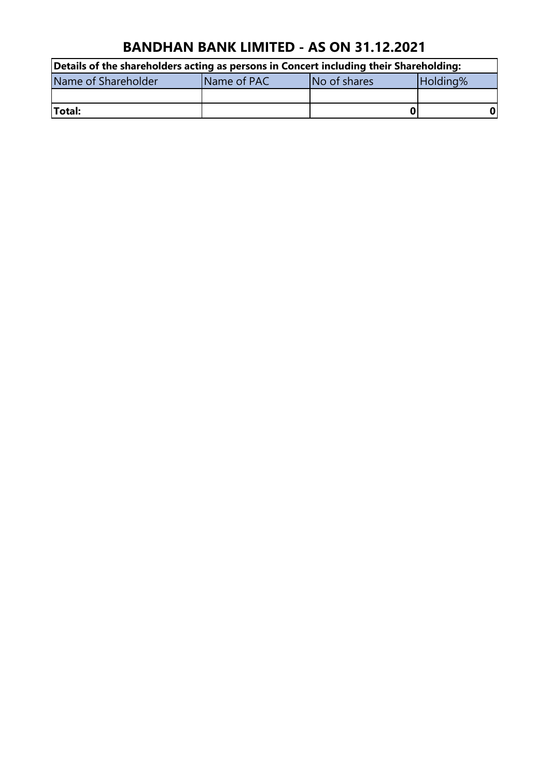| Details of the shareholders acting as persons in Concert including their Shareholding: |             |              |          |  |  |  |  |  |
|----------------------------------------------------------------------------------------|-------------|--------------|----------|--|--|--|--|--|
| Name of Shareholder                                                                    | Name of PAC | No of shares | Holding% |  |  |  |  |  |
|                                                                                        |             |              |          |  |  |  |  |  |
| Total:                                                                                 |             |              |          |  |  |  |  |  |